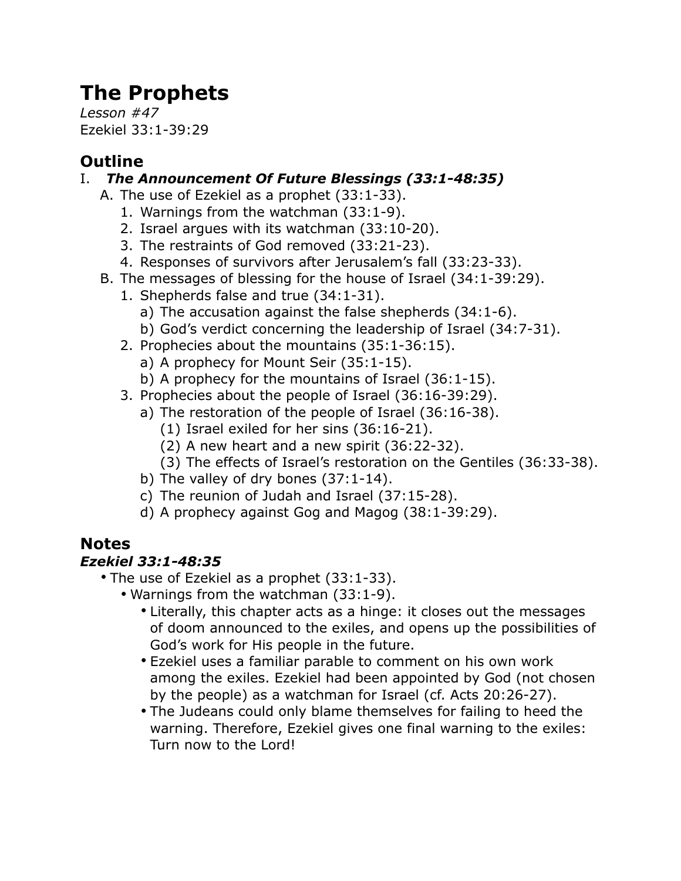# **The Prophets**

*Lesson #47* Ezekiel 33:1-39:29

### **Outline**

#### I. *The Announcement Of Future Blessings (33:1-48:35)*

- A. The use of Ezekiel as a prophet (33:1-33).
	- 1. Warnings from the watchman (33:1-9).
	- 2. Israel argues with its watchman (33:10-20).
	- 3. The restraints of God removed (33:21-23).
	- 4. Responses of survivors after Jerusalem's fall (33:23-33).
- B. The messages of blessing for the house of Israel (34:1-39:29).
	- 1. Shepherds false and true (34:1-31).
		- a) The accusation against the false shepherds (34:1-6).
		- b) God's verdict concerning the leadership of Israel (34:7-31).
	- 2. Prophecies about the mountains (35:1-36:15).
		- a) A prophecy for Mount Seir (35:1-15).
		- b) A prophecy for the mountains of Israel (36:1-15).
	- 3. Prophecies about the people of Israel (36:16-39:29).
		- a) The restoration of the people of Israel (36:16-38).
			- (1) Israel exiled for her sins (36:16-21).
			- (2) A new heart and a new spirit (36:22-32).
			- (3) The effects of Israel's restoration on the Gentiles (36:33-38).
		- b) The valley of dry bones (37:1-14).
		- c) The reunion of Judah and Israel (37:15-28).
		- d) A prophecy against Gog and Magog (38:1-39:29).

## **Notes**

#### *Ezekiel 33:1-48:35*

- The use of Ezekiel as a prophet (33:1-33).
	- Warnings from the watchman (33:1-9).
		- Literally, this chapter acts as a hinge: it closes out the messages of doom announced to the exiles, and opens up the possibilities of God's work for His people in the future.
		- Ezekiel uses a familiar parable to comment on his own work among the exiles. Ezekiel had been appointed by God (not chosen by the people) as a watchman for Israel (cf. Acts 20:26-27).
		- The Judeans could only blame themselves for failing to heed the warning. Therefore, Ezekiel gives one final warning to the exiles: Turn now to the Lord!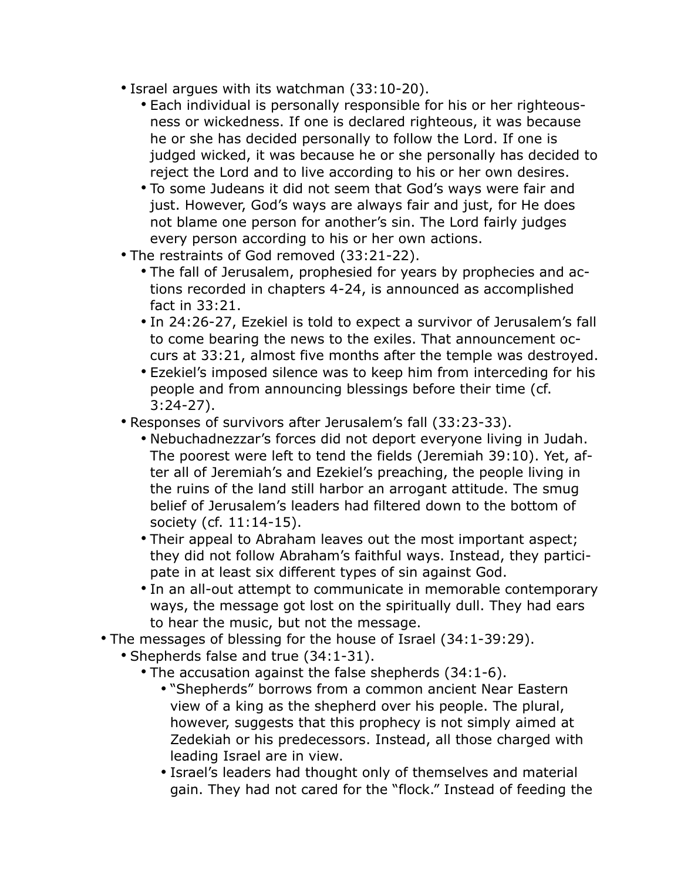- Israel argues with its watchman (33:10-20).
	- Each individual is personally responsible for his or her righteousness or wickedness. If one is declared righteous, it was because he or she has decided personally to follow the Lord. If one is judged wicked, it was because he or she personally has decided to reject the Lord and to live according to his or her own desires.
	- To some Judeans it did not seem that God's ways were fair and just. However, God's ways are always fair and just, for He does not blame one person for another's sin. The Lord fairly judges every person according to his or her own actions.
- The restraints of God removed (33:21-22).
	- The fall of Jerusalem, prophesied for years by prophecies and actions recorded in chapters 4-24, is announced as accomplished fact in 33:21.
	- In 24:26-27, Ezekiel is told to expect a survivor of Jerusalem's fall to come bearing the news to the exiles. That announcement occurs at 33:21, almost five months after the temple was destroyed.
	- Ezekiel's imposed silence was to keep him from interceding for his people and from announcing blessings before their time (cf. 3:24-27).
- Responses of survivors after Jerusalem's fall (33:23-33).
	- Nebuchadnezzar's forces did not deport everyone living in Judah. The poorest were left to tend the fields (Jeremiah 39:10). Yet, after all of Jeremiah's and Ezekiel's preaching, the people living in the ruins of the land still harbor an arrogant attitude. The smug belief of Jerusalem's leaders had filtered down to the bottom of society (cf. 11:14-15).
	- Their appeal to Abraham leaves out the most important aspect; they did not follow Abraham's faithful ways. Instead, they participate in at least six different types of sin against God.
	- In an all-out attempt to communicate in memorable contemporary ways, the message got lost on the spiritually dull. They had ears to hear the music, but not the message.
- The messages of blessing for the house of Israel (34:1-39:29).
	- Shepherds false and true (34:1-31).
		- The accusation against the false shepherds (34:1-6).
			- "Shepherds" borrows from a common ancient Near Eastern view of a king as the shepherd over his people. The plural, however, suggests that this prophecy is not simply aimed at Zedekiah or his predecessors. Instead, all those charged with leading Israel are in view.
			- Israel's leaders had thought only of themselves and material gain. They had not cared for the "flock." Instead of feeding the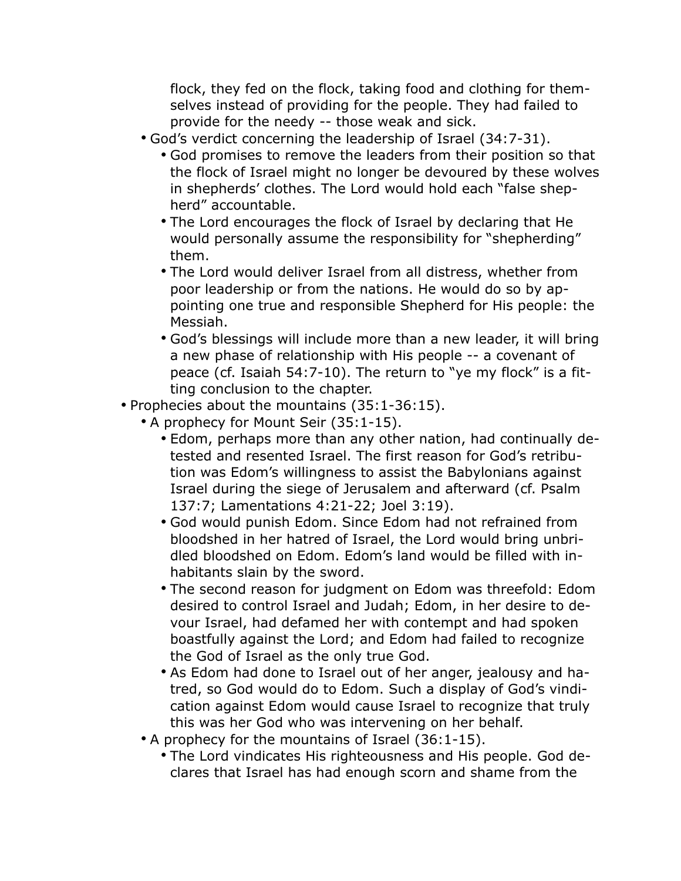flock, they fed on the flock, taking food and clothing for themselves instead of providing for the people. They had failed to provide for the needy -- those weak and sick.

- God's verdict concerning the leadership of Israel (34:7-31).
	- God promises to remove the leaders from their position so that the flock of Israel might no longer be devoured by these wolves in shepherds' clothes. The Lord would hold each "false shepherd" accountable.
	- The Lord encourages the flock of Israel by declaring that He would personally assume the responsibility for "shepherding" them.
	- The Lord would deliver Israel from all distress, whether from poor leadership or from the nations. He would do so by appointing one true and responsible Shepherd for His people: the Messiah.
	- God's blessings will include more than a new leader, it will bring a new phase of relationship with His people -- a covenant of peace (cf. Isaiah 54:7-10). The return to "ye my flock" is a fitting conclusion to the chapter.
- Prophecies about the mountains (35:1-36:15).
	- A prophecy for Mount Seir (35:1-15).
		- Edom, perhaps more than any other nation, had continually detested and resented Israel. The first reason for God's retribution was Edom's willingness to assist the Babylonians against Israel during the siege of Jerusalem and afterward (cf. Psalm 137:7; Lamentations 4:21-22; Joel 3:19).
		- God would punish Edom. Since Edom had not refrained from bloodshed in her hatred of Israel, the Lord would bring unbridled bloodshed on Edom. Edom's land would be filled with inhabitants slain by the sword.
		- The second reason for judgment on Edom was threefold: Edom desired to control Israel and Judah; Edom, in her desire to devour Israel, had defamed her with contempt and had spoken boastfully against the Lord; and Edom had failed to recognize the God of Israel as the only true God.
		- As Edom had done to Israel out of her anger, jealousy and hatred, so God would do to Edom. Such a display of God's vindication against Edom would cause Israel to recognize that truly this was her God who was intervening on her behalf.
	- A prophecy for the mountains of Israel (36:1-15).
		- The Lord vindicates His righteousness and His people. God declares that Israel has had enough scorn and shame from the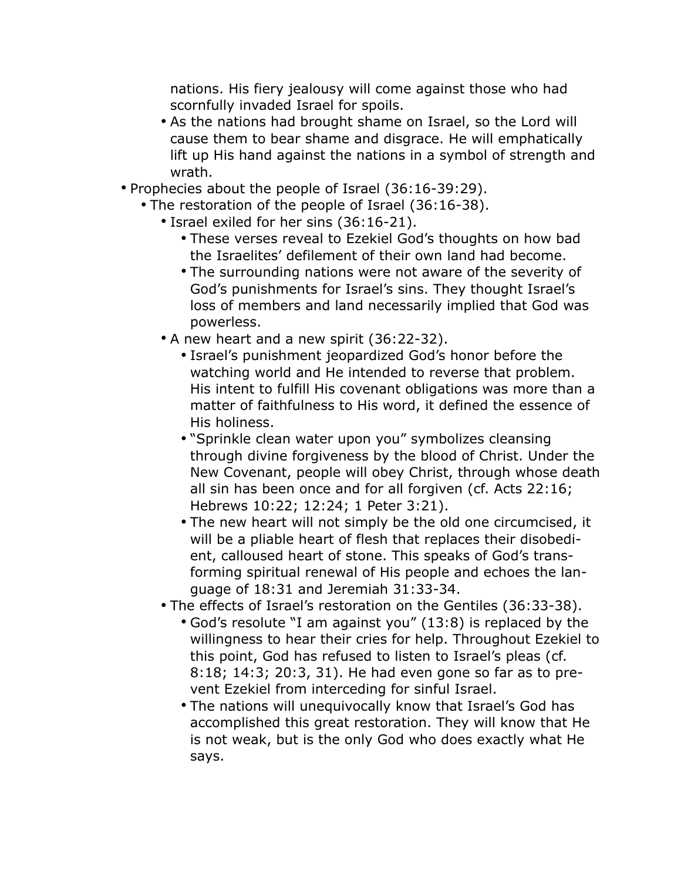nations. His fiery jealousy will come against those who had scornfully invaded Israel for spoils.

- As the nations had brought shame on Israel, so the Lord will cause them to bear shame and disgrace. He will emphatically lift up His hand against the nations in a symbol of strength and wrath.
- Prophecies about the people of Israel (36:16-39:29).
	- The restoration of the people of Israel (36:16-38).
		- Israel exiled for her sins (36:16-21).
			- These verses reveal to Ezekiel God's thoughts on how bad the Israelites' defilement of their own land had become.
			- The surrounding nations were not aware of the severity of God's punishments for Israel's sins. They thought Israel's loss of members and land necessarily implied that God was powerless.
		- A new heart and a new spirit (36:22-32).
			- Israel's punishment jeopardized God's honor before the watching world and He intended to reverse that problem. His intent to fulfill His covenant obligations was more than a matter of faithfulness to His word, it defined the essence of His holiness.
			- "Sprinkle clean water upon you" symbolizes cleansing through divine forgiveness by the blood of Christ. Under the New Covenant, people will obey Christ, through whose death all sin has been once and for all forgiven (cf. Acts 22:16; Hebrews 10:22; 12:24; 1 Peter 3:21).
			- The new heart will not simply be the old one circumcised, it will be a pliable heart of flesh that replaces their disobedient, calloused heart of stone. This speaks of God's transforming spiritual renewal of His people and echoes the language of 18:31 and Jeremiah 31:33-34.
		- The effects of Israel's restoration on the Gentiles (36:33-38).
			- God's resolute "I am against you" (13:8) is replaced by the willingness to hear their cries for help. Throughout Ezekiel to this point, God has refused to listen to Israel's pleas (cf. 8:18; 14:3; 20:3, 31). He had even gone so far as to prevent Ezekiel from interceding for sinful Israel.
			- The nations will unequivocally know that Israel's God has accomplished this great restoration. They will know that He is not weak, but is the only God who does exactly what He says.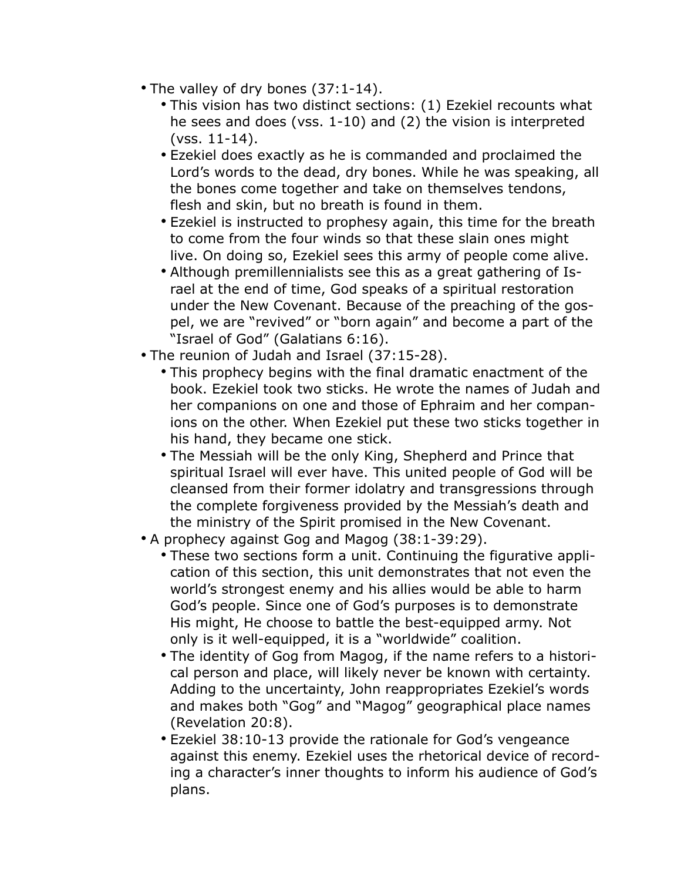- The valley of dry bones (37:1-14).
	- This vision has two distinct sections: (1) Ezekiel recounts what he sees and does (vss. 1-10) and (2) the vision is interpreted (vss. 11-14).
	- Ezekiel does exactly as he is commanded and proclaimed the Lord's words to the dead, dry bones. While he was speaking, all the bones come together and take on themselves tendons, flesh and skin, but no breath is found in them.
	- Ezekiel is instructed to prophesy again, this time for the breath to come from the four winds so that these slain ones might live. On doing so, Ezekiel sees this army of people come alive.
	- Although premillennialists see this as a great gathering of Israel at the end of time, God speaks of a spiritual restoration under the New Covenant. Because of the preaching of the gospel, we are "revived" or "born again" and become a part of the "Israel of God" (Galatians 6:16).
- The reunion of Judah and Israel (37:15-28).
	- This prophecy begins with the final dramatic enactment of the book. Ezekiel took two sticks. He wrote the names of Judah and her companions on one and those of Ephraim and her companions on the other. When Ezekiel put these two sticks together in his hand, they became one stick.
	- The Messiah will be the only King, Shepherd and Prince that spiritual Israel will ever have. This united people of God will be cleansed from their former idolatry and transgressions through the complete forgiveness provided by the Messiah's death and the ministry of the Spirit promised in the New Covenant.
- A prophecy against Gog and Magog (38:1-39:29).
	- These two sections form a unit. Continuing the figurative application of this section, this unit demonstrates that not even the world's strongest enemy and his allies would be able to harm God's people. Since one of God's purposes is to demonstrate His might, He choose to battle the best-equipped army. Not only is it well-equipped, it is a "worldwide" coalition.
	- The identity of Gog from Magog, if the name refers to a historical person and place, will likely never be known with certainty. Adding to the uncertainty, John reappropriates Ezekiel's words and makes both "Gog" and "Magog" geographical place names (Revelation 20:8).
	- Ezekiel 38:10-13 provide the rationale for God's vengeance against this enemy. Ezekiel uses the rhetorical device of recording a character's inner thoughts to inform his audience of God's plans.